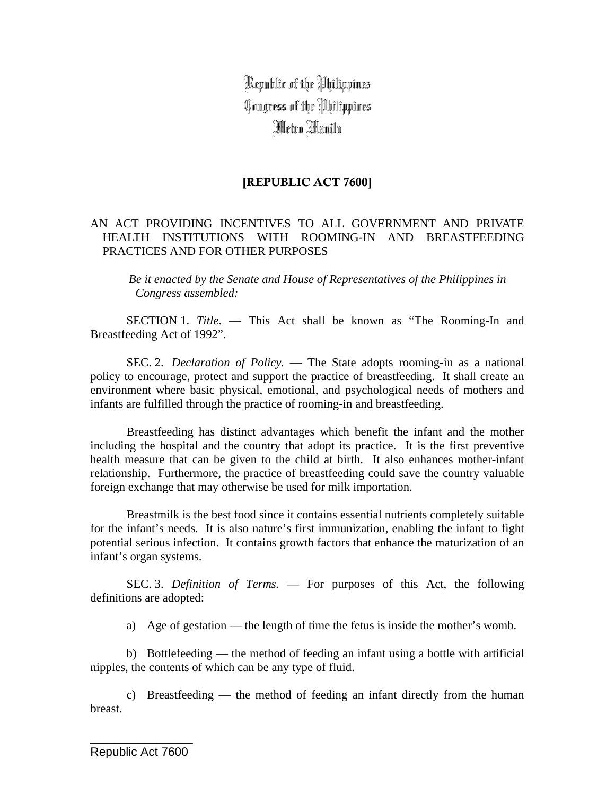Republic of the Philippines Congress of the Philippines Metro Manila

# [REPUBLIC ACT 7600]

# AN ACT PROVIDING INCENTIVES TO ALL GOVERNMENT AND PRIVATE HEALTH INSTITUTIONS WITH ROOMING-IN AND BREASTFEEDING PRACTICES AND FOR OTHER PURPOSES

*Be it enacted by the Senate and House of Representatives of the Philippines in Congress assembled:* 

 SECTION 1. *Title*. — This Act shall be known as "The Rooming-In and Breastfeeding Act of 1992".

 SEC. 2. *Declaration of Policy.* — The State adopts rooming-in as a national policy to encourage, protect and support the practice of breastfeeding. It shall create an environment where basic physical, emotional, and psychological needs of mothers and infants are fulfilled through the practice of rooming-in and breastfeeding.

Breastfeeding has distinct advantages which benefit the infant and the mother including the hospital and the country that adopt its practice. It is the first preventive health measure that can be given to the child at birth. It also enhances mother-infant relationship. Furthermore, the practice of breastfeeding could save the country valuable foreign exchange that may otherwise be used for milk importation.

Breastmilk is the best food since it contains essential nutrients completely suitable for the infant's needs. It is also nature's first immunization, enabling the infant to fight potential serious infection. It contains growth factors that enhance the maturization of an infant's organ systems.

 SEC. 3. *Definition of Terms.* — For purposes of this Act, the following definitions are adopted:

a) Age of gestation — the length of time the fetus is inside the mother's womb.

b) Bottlefeeding — the method of feeding an infant using a bottle with artificial nipples, the contents of which can be any type of fluid.

c) Breastfeeding — the method of feeding an infant directly from the human breast.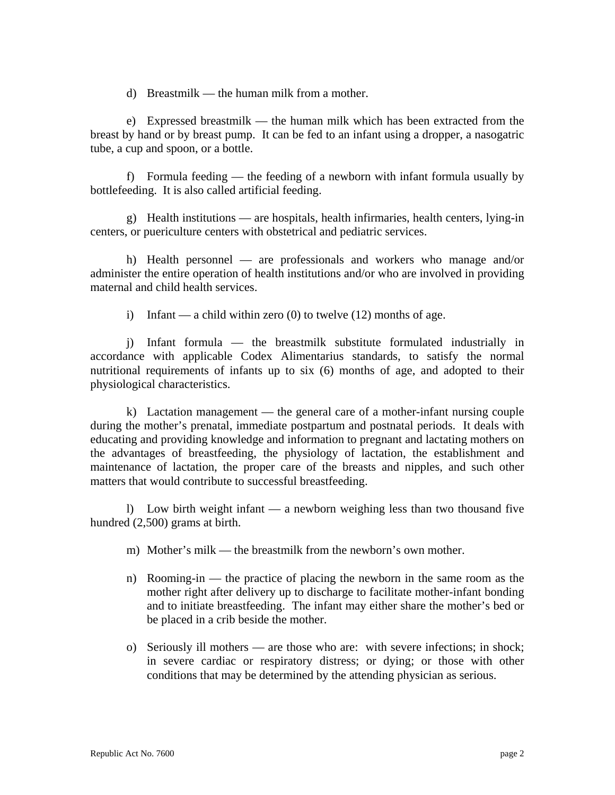d) Breastmilk — the human milk from a mother.

e) Expressed breastmilk — the human milk which has been extracted from the breast by hand or by breast pump. It can be fed to an infant using a dropper, a nasogatric tube, a cup and spoon, or a bottle.

f) Formula feeding — the feeding of a newborn with infant formula usually by bottlefeeding. It is also called artificial feeding.

g) Health institutions — are hospitals, health infirmaries, health centers, lying-in centers, or puericulture centers with obstetrical and pediatric services.

h) Health personnel — are professionals and workers who manage and/or administer the entire operation of health institutions and/or who are involved in providing maternal and child health services.

i) Infant — a child within zero  $(0)$  to twelve  $(12)$  months of age.

j) Infant formula — the breastmilk substitute formulated industrially in accordance with applicable Codex Alimentarius standards, to satisfy the normal nutritional requirements of infants up to six (6) months of age, and adopted to their physiological characteristics.

k) Lactation management — the general care of a mother-infant nursing couple during the mother's prenatal, immediate postpartum and postnatal periods. It deals with educating and providing knowledge and information to pregnant and lactating mothers on the advantages of breastfeeding, the physiology of lactation, the establishment and maintenance of lactation, the proper care of the breasts and nipples, and such other matters that would contribute to successful breastfeeding.

l) Low birth weight infant — a newborn weighing less than two thousand five hundred (2,500) grams at birth.

- m) Mother's milk the breastmilk from the newborn's own mother.
- n) Rooming-in the practice of placing the newborn in the same room as the mother right after delivery up to discharge to facilitate mother-infant bonding and to initiate breastfeeding. The infant may either share the mother's bed or be placed in a crib beside the mother.
- o) Seriously ill mothers are those who are: with severe infections; in shock; in severe cardiac or respiratory distress; or dying; or those with other conditions that may be determined by the attending physician as serious.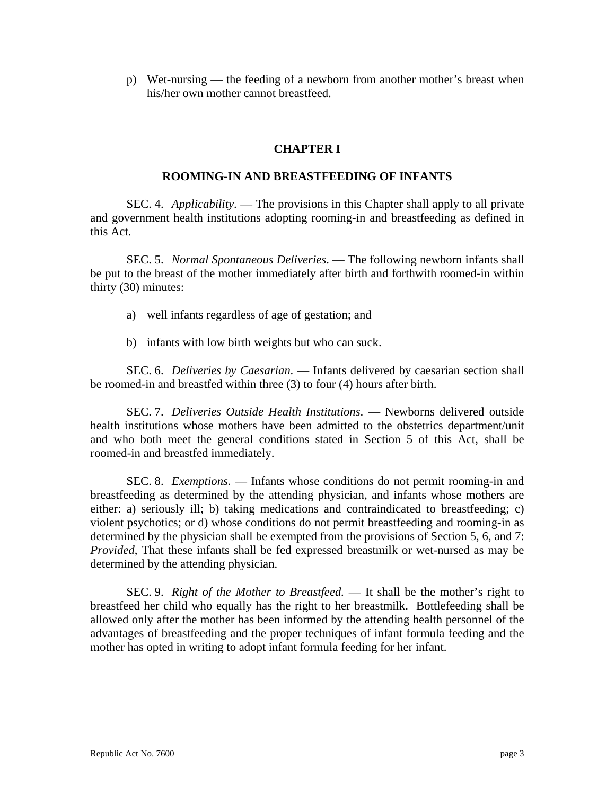p) Wet-nursing — the feeding of a newborn from another mother's breast when his/her own mother cannot breastfeed.

# **CHAPTER I**

### **ROOMING-IN AND BREASTFEEDING OF INFANTS**

 SEC. 4. *Applicability*. — The provisions in this Chapter shall apply to all private and government health institutions adopting rooming-in and breastfeeding as defined in this Act.

 SEC. 5. *Normal Spontaneous Deliveries*. — The following newborn infants shall be put to the breast of the mother immediately after birth and forthwith roomed-in within thirty (30) minutes:

- a) well infants regardless of age of gestation; and
- b) infants with low birth weights but who can suck.

 SEC. 6. *Deliveries by Caesarian*. — Infants delivered by caesarian section shall be roomed-in and breastfed within three (3) to four (4) hours after birth.

 SEC. 7. *Deliveries Outside Health Institutions*. — Newborns delivered outside health institutions whose mothers have been admitted to the obstetrics department/unit and who both meet the general conditions stated in Section 5 of this Act, shall be roomed-in and breastfed immediately.

 SEC. 8. *Exemptions*. — Infants whose conditions do not permit rooming-in and breastfeeding as determined by the attending physician, and infants whose mothers are either: a) seriously ill; b) taking medications and contraindicated to breastfeeding; c) violent psychotics; or d) whose conditions do not permit breastfeeding and rooming-in as determined by the physician shall be exempted from the provisions of Section 5, 6, and 7: *Provided*, That these infants shall be fed expressed breastmilk or wet-nursed as may be determined by the attending physician.

SEC. 9. *Right of the Mother to Breastfeed.* — It shall be the mother's right to breastfeed her child who equally has the right to her breastmilk. Bottlefeeding shall be allowed only after the mother has been informed by the attending health personnel of the advantages of breastfeeding and the proper techniques of infant formula feeding and the mother has opted in writing to adopt infant formula feeding for her infant.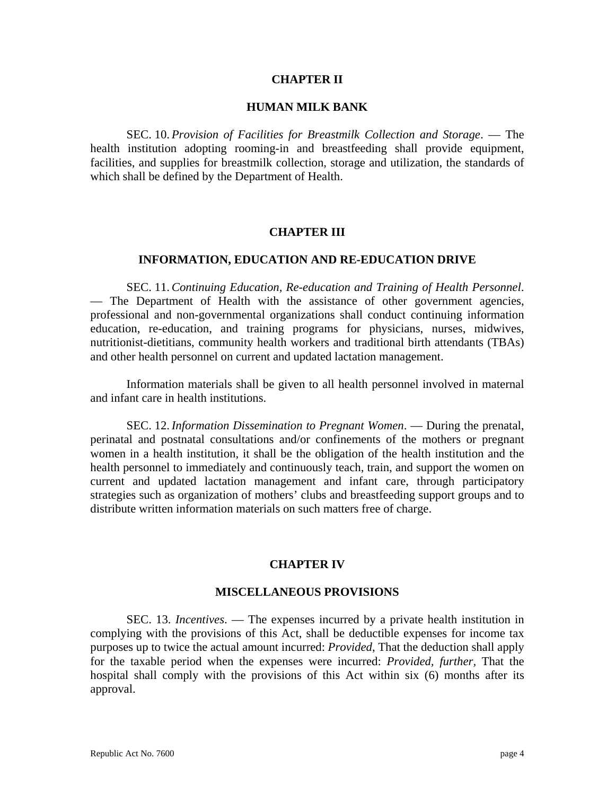### **CHAPTER II**

### **HUMAN MILK BANK**

 SEC. 10. *Provision of Facilities for Breastmilk Collection and Storage*. — The health institution adopting rooming-in and breastfeeding shall provide equipment, facilities, and supplies for breastmilk collection, storage and utilization, the standards of which shall be defined by the Department of Health.

### **CHAPTER III**

# **INFORMATION, EDUCATION AND RE-EDUCATION DRIVE**

 SEC. 11. *Continuing Education, Re-education and Training of Health Personnel*. — The Department of Health with the assistance of other government agencies, professional and non-governmental organizations shall conduct continuing information education, re-education, and training programs for physicians, nurses, midwives, nutritionist-dietitians, community health workers and traditional birth attendants (TBAs) and other health personnel on current and updated lactation management.

Information materials shall be given to all health personnel involved in maternal and infant care in health institutions.

 SEC. 12. *Information Dissemination to Pregnant Women*. — During the prenatal, perinatal and postnatal consultations and/or confinements of the mothers or pregnant women in a health institution, it shall be the obligation of the health institution and the health personnel to immediately and continuously teach, train, and support the women on current and updated lactation management and infant care, through participatory strategies such as organization of mothers' clubs and breastfeeding support groups and to distribute written information materials on such matters free of charge.

#### **CHAPTER IV**

#### **MISCELLANEOUS PROVISIONS**

 SEC. 13. *Incentives*. — The expenses incurred by a private health institution in complying with the provisions of this Act, shall be deductible expenses for income tax purposes up to twice the actual amount incurred: *Provided*, That the deduction shall apply for the taxable period when the expenses were incurred: *Provided, further,* That the hospital shall comply with the provisions of this Act within six (6) months after its approval.